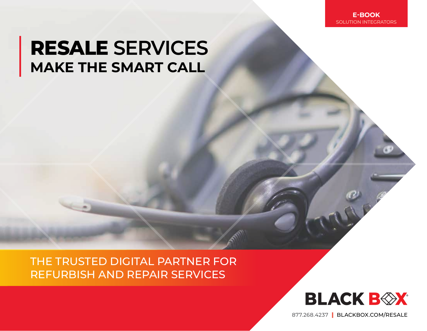### **RESALE SERVICES MAKE THE SMART CALL**

THE TRUSTED DIGITAL PARTNER FOR REFURBISH AND REPAIR SERVICES



877.268.4237|[BLACKBOX.COM/RESALE](https://www.blackbox.com/en-us/services/refurbish-repair)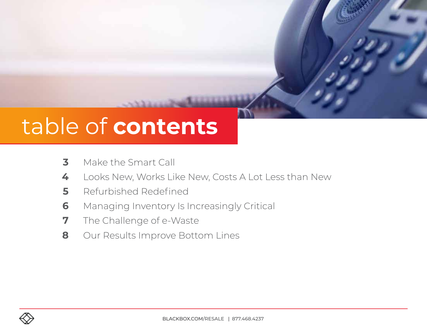## table of **contents**

- Make the Smart Call
- Looks New, Works Like New, Costs A Lot Less than New
- Refurbished Redefined
- Managing Inventory Is Increasingly Critical
- The Challenge of e-Waste
- Our Results Improve Bottom Lines

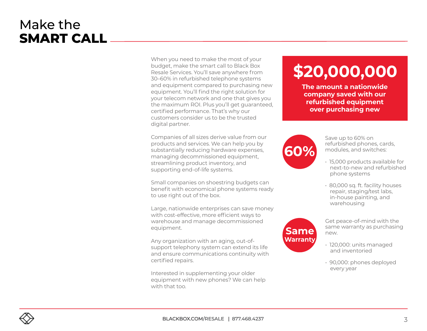#### Make the **SMART CALL**

When you need to make the most of your budget, make the smart call to Black Box Resale Services. You'll save anywhere from 30–60% in refurbished telephone systems and equipment compared to purchasing new equipment. You'll find the right solution for your telecom network and one that gives you the maximum ROI. Plus you'll get guaranteed, certified performance. That's why our customers consider us to be the trusted digital partner.

Companies of all sizes derive value from our products and services. We can help you by substantially reducing hardware expenses, managing decommissioned equipment, streamlining product inventory, and supporting end-of-life systems.

Small companies on shoestring budgets can benefit with economical phone systems ready to use right out of the box.

Large, nationwide enterprises can save money with cost-effective, more efficient ways to warehouse and manage decommissioned equipment.

Any organization with an aging, out-ofsupport telephony system can extend its life and ensure communications continuity with certified repairs.

Interested in supplementing your older equipment with new phones? We can help with that too.

### **\$20,000,000**

**The amount a nationwide company saved with our refurbished equipment over purchasing new**



**Same Warranty** Save up to 60% on refurbished phones, cards, modules, and switches:

- 15,000 products available for next-to-new and refurbished phone systems
- 80,000 sq. ft. facility houses repair, staging/test labs, in-house painting, and warehousing

Get peace-of-mind with the same warranty as purchasing new.

- 120,000: units managed and inventoried
- 90,000: phones deployed every year

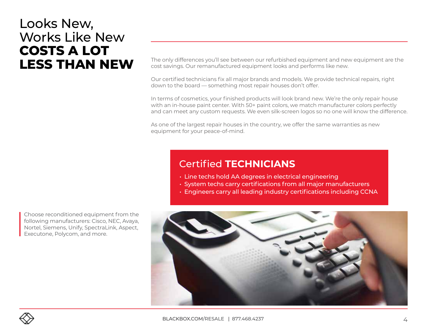#### Looks New, Works Like New **COSTS A LOT LESS THAN NEW**

The only differences you'll see between our refurbished equipment and new equipment are the cost savings. Our remanufactured equipment looks and performs like new.

Our certified technicians fix all major brands and models. We provide technical repairs, right down to the board — something most repair houses don't offer.

In terms of cosmetics, your finished products will look brand new. We're the only repair house with an in-house paint center. With 50+ paint colors, we match manufacturer colors perfectly and can meet any custom requests. We even silk-screen logos so no one will know the difference.

As one of the largest repair houses in the country, we offer the same warranties as new equipment for your peace-of-mind.

#### **Certified TECHNICIANS**

- $\cdot$  Line techs hold AA degrees in electrical engineering
- System techs carry certifications from all major manufacturers
- Engineers carry all leading industry certifications including CCNA



Choose reconditioned equipment from the following manufacturers: Cisco, NEC, Avaya, Nortel, Siemens, Unify, SpectraLink, Aspect, Executone, Polycom, and more.

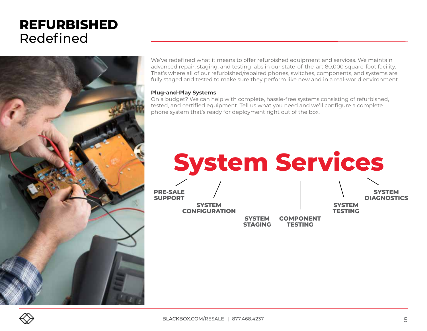#### **REFURBISHED**  Redefined



We've redefined what it means to offer refurbished equipment and services. We maintain advanced repair, staging, and testing labs in our state-of-the-art 80,000 square-foot facility. That's where all of our refurbished/repaired phones, switches, components, and systems are fully staged and tested to make sure they perform like new and in a real-world environment.

#### **Plug-and-Play Systems**

On a budget? We can help with complete, hassle-free systems consisting of refurbished, tested, and certified equipment. Tell us what you need and we'll configure a complete phone system that's ready for deployment right out of the box.



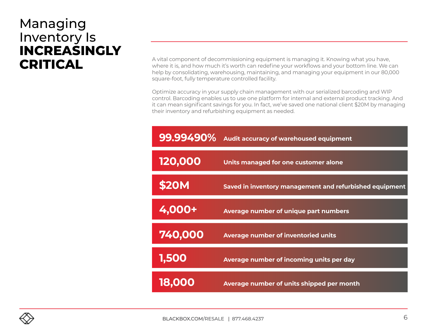#### Managing Inventory Is **INCREASINGLY CRITICAL**

A vital component of decommissioning equipment is managing it. Knowing what you have, where it is, and how much it's worth can redefine your workflows and your bottom line. We can help by consolidating, warehousing, maintaining, and managing your equipment in our 80,000 square-foot, fully temperature controlled facility.

Optimize accuracy in your supply chain management with our serialized barcoding and WIP control. Barcoding enables us to use one platform for internal and external product tracking. And it can mean significant savings for you. In fact, we've saved one national client \$20M by managing their inventory and refurbishing equipment as needed.

| 99.99490% | Audit accuracy of warehoused equipment                  |
|-----------|---------------------------------------------------------|
| 120,000   | Units managed for one customer alone                    |
| \$20M     | Saved in inventory management and refurbished equipment |
| 4,000+    | Average number of unique part numbers                   |
| 740,000   | <b>Average number of inventoried units</b>              |
| 1,500     | Average number of incoming units per day                |
| 18.000    | Average number of units shipped per month               |

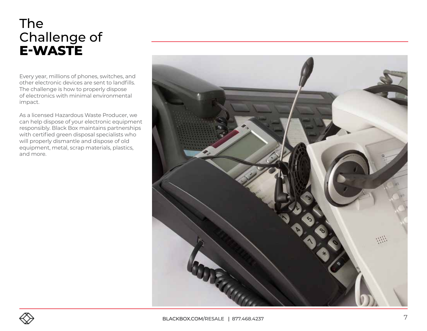#### The Challenge of **E-WASTE**

Every year, millions of phones, switches, and other electronic devices are sent to landfills. The challenge is how to properly dispose of electronics with minimal environmental impact.

As a licensed Hazardous Waste Producer, we can help dispose of your electronic equipment responsibly. Black Box maintains partnerships with certified green disposal specialists who will properly dismantle and dispose of old equipment, metal, scrap materials, plastics, and more.